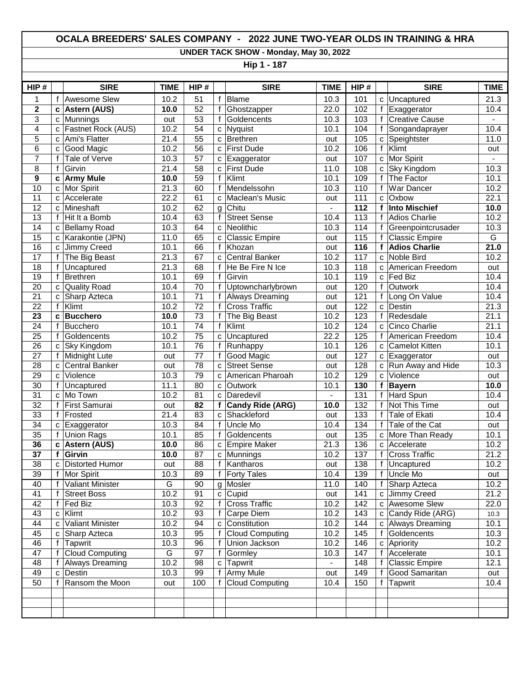## **OCALA BREEDERS' SALES COMPANY - 2022 JUNE TWO-YEAR OLDS IN TRAINING & HRA**

**UNDER TACK SHOW - Monday, May 30, 2022**

**Hip 1 - 187**

| HIP#            |              | <b>SIRE</b>             | <b>TIME</b>       | HIP#            |              | <b>SIRE</b>             | <b>TIME</b>    | HIP# |              | <b>SIRE</b>           | <b>TIME</b>       |
|-----------------|--------------|-------------------------|-------------------|-----------------|--------------|-------------------------|----------------|------|--------------|-----------------------|-------------------|
| 1               | f            | Awesome Slew            | 10.2              | 51              | f            | <b>Blame</b>            | 10.3           | 101  | C            | Uncaptured            | 21.3              |
| $\mathbf 2$     | C            | <b>Astern (AUS)</b>     | 10.0              | 52              | f            | Ghostzapper             | 22.0           | 102  | f            | Exaggerator           | 10.4              |
| 3               | C            | Munnings                | out               | 53              | f            | Goldencents             | 10.3           | 103  | $\mathbf f$  | <b>Creative Cause</b> |                   |
| 4               | C            | Fastnet Rock (AUS)      | 10.2              | $\overline{54}$ | $\mathbf{C}$ | <b>Nyquist</b>          | 10.1           | 104  | $\mathsf{f}$ | Songandaprayer        | 10.4              |
| 5               | c            | Ami's Flatter           | 21.4              | 55              | $\mathbf{C}$ | <b>Brethren</b>         | out            | 105  | C            | Speightster           | 11.0              |
| $6\phantom{1}6$ | C            | Good Magic              | 10.2              | $\overline{56}$ |              | c First Dude            | 10.2           | 106  | $\mathsf{f}$ | Klimt                 | out               |
| 7               | f            | Tale of Verve           | 10.3              | 57              | C            | Exaggerator             | out            | 107  | C            | Mor Spirit            |                   |
| 8               | f            | Girvin                  | 21.4              | 58              | C            | <b>First Dude</b>       | 11.0           | 108  | C            | Sky Kingdom           | 10.3              |
| $\mathbf{9}$    | C            | <b>Army Mule</b>        | 10.0              | 59              | f            | Klimt                   | 10.1           | 109  | $\mathsf{f}$ | The Factor            | 10.1              |
| 10              | C            | Mor Spirit              | 21.3              | 60              | $\mathbf f$  | Mendelssohn             | 10.3           | 110  | $\mathsf{f}$ | War Dancer            | 10.2              |
| $\overline{11}$ | C            | Accelerate              | $\overline{22.2}$ | 61              | C            | Maclean's Music         | out            | 111  | C            | Oxbow                 | 22.1              |
| 12              | C            | Mineshaft               | 10.2              | 62              | g            | Chitu                   | $\blacksquare$ | 112  | f            | <b>Into Mischief</b>  | 10.0              |
| 13              | f            | Hit It a Bomb           | 10.4              | 63              | f            | <b>Street Sense</b>     | 10.4           | 113  | f            | <b>Adios Charlie</b>  | 10.2              |
| $\overline{14}$ | C            | <b>Bellamy Road</b>     | 10.3              | 64              | C            | Neolithic               | 10.3           | 114  | f            | Greenpointcrusader    | 10.3              |
| 15              | C            | Karakontie (JPN)        | 11.0              | 65              | C            | <b>Classic Empire</b>   | out            | 115  | $\mathsf{f}$ | <b>Classic Empire</b> | G                 |
| 16              | C            | Jimmy Creed             | 10.1              | 66              | f            | Khozan                  | out            | 116  | f            | <b>Adios Charlie</b>  | $\frac{21.0}{5}$  |
| 17              | f            | The Big Beast           | 21.3              | 67              | C            | <b>Central Banker</b>   | 10.2           | 117  | C            | Noble Bird            | 10.2              |
| $\overline{18}$ | f            | Uncaptured              | 21.3              | 68              | f            | He Be Fire N Ice        | 10.3           | 118  | C            | American Freedom      | out               |
| 19              | f            | <b>Brethren</b>         | 10.1              | 69              | $\mathsf f$  | Girvin                  | 10.1           | 119  | C            | Fed Biz               | 10.4              |
| 20              | C            | <b>Quality Road</b>     | 10.4              | 70              | $\mathbf f$  | Uptowncharlybrown       | out            | 120  | $\mathsf{f}$ | Outwork               | 10.4              |
| $\overline{21}$ | $\mathbf{C}$ | Sharp Azteca            | 10.1              | $\overline{71}$ | f            | <b>Always Dreaming</b>  | out            | 121  | $\mathsf{f}$ | Long On Value         | 10.4              |
| 22              | f            | Klimt                   | 10.2              | 72              | f            | <b>Cross Traffic</b>    | out            | 122  | C            | Destin                | 21.3              |
| 23              | C            | <b>Bucchero</b>         | 10.0              | $\overline{73}$ | f            | The Big Beast           | 10.2           | 123  | f            | Redesdale             | 21.1              |
| 24              | f            | <b>Bucchero</b>         | 10.1              | $\overline{74}$ | f            | Klimt                   | 10.2           | 124  | C            | Cinco Charlie         | 21.1              |
| 25              | $\mathsf f$  | Goldencents             | 10.2              | 75              | $\mathbf{C}$ | Uncaptured              | 22.2           | 125  | $\mathsf{f}$ | American Freedom      | 10.4              |
| $\overline{26}$ | C            | <b>Sky Kingdom</b>      | 10.1              | $\overline{76}$ | f            | Runhappy                | 10.1           | 126  | c            | <b>Camelot Kitten</b> | 10.1              |
| 27              | f            | Midnight Lute           | out               | 77              | f            | Good Magic              | out            | 127  | c            | Exaggerator           | out               |
| 28              | C            | <b>Central Banker</b>   | out               | 78              | $\mathbf c$  | <b>Street Sense</b>     | out            | 128  | C            | Run Away and Hide     | 10.3              |
| 29              | $\mathbf{C}$ | Violence                | 10.3              | 79              | $\mathbf{C}$ | American Pharoah        | 10.2           | 129  | C            | Violence              | out               |
| 30              | f            | Uncaptured              | 11.1              | 80              | $\mathbf{C}$ | Outwork                 | 10.1           | 130  | f            | <b>Bayern</b>         | 10.0              |
| $\overline{31}$ | C            | Mo Town                 | 10.2              | $\overline{81}$ | C            | Daredevil               | $\blacksquare$ | 131  | $\mathsf{f}$ | Hard Spun             | 10.4              |
| 32              | f            | First Samurai           | out               | 82              | f            | <b>Candy Ride (ARG)</b> | 10.0           | 132  | $\mathbf{f}$ | Not This Time         | out               |
| 33              | f            | Frosted                 | 21.4              | 83              | C            | Shackleford             | out            | 133  | f            | <b>Tale of Ekati</b>  | 10.4              |
| 34              | C            | Exaggerator             | 10.3              | 84              | f            | Uncle Mo                | 10.4           | 134  | f            | Tale of the Cat       | out               |
| 35              | f            | <b>Union Rags</b>       | 10.1              | 85              | f            | Goldencents             | out            | 135  | C            | More Than Ready       | 10.1              |
| 36              | C            | <b>Astern (AUS)</b>     | 10.0              | $\overline{86}$ |              | c Empire Maker          | 21.3           | 136  | $\mathbf{C}$ | Accelerate            | $\overline{10.2}$ |
| 37              | f            | Girvin                  | 10.0              | 87              | $\mathbf{C}$ | Munnings                | 10.2           | 137  | $\mathsf{f}$ | <b>Cross Traffic</b>  | $\overline{21.2}$ |
| $\overline{38}$ | C            | <b>Distorted Humor</b>  | out               | 88              | f            | Kantharos               | out            | 138  | f            | Uncaptured            | 10.2              |
| 39              | f            | Mor Spirit              | 10.3              | 89              | f            | <b>Forty Tales</b>      | 10.4           | 139  | f            | Uncle Mo              | out               |
| 40              | f            | <b>Valiant Minister</b> | $\overline{G}$    | 90              | g            | Mosler                  | 11.0           | 140  | $\mathbf{f}$ | Sharp Azteca          | $\overline{10.2}$ |
| 41              | f            | <b>Street Boss</b>      | 10.2              | 91              |              | c Cupid                 | out            | 141  | C            | Jimmy Creed           | 21.2              |
| 42              | f            | Fed Biz                 | 10.3              | 92              | $\mathsf{f}$ | <b>Cross Traffic</b>    | 10.2           | 142  | C            | <b>Awesome Slew</b>   | 22.0              |
| 43              | C            | Klimt                   | 10.2              | 93              | f            | Carpe Diem              | 10.2           | 143  | с            | Candy Ride (ARG)      | 10.3              |
| 44              | C            | Valiant Minister        | 10.2              | 94              | C            | Constitution            | 10.2           | 144  | с            | Always Dreaming       | 10.1              |
| 45              | C            | Sharp Azteca            | 10.3              | 95              | f            | <b>Cloud Computing</b>  | 10.2           | 145  | f            | Goldencents           | 10.3              |
| 46              | f            | Tapwrit                 | 10.3              | 96              | f            | Union Jackson           | 10.2           | 146  | с            | Apriority             | 10.2              |
| 47              | f            | <b>Cloud Computing</b>  | G                 | 97              | f            | Gormley                 | 10.3           | 147  | f            | Accelerate            | 10.1              |
| 48              |              | <b>Always Dreaming</b>  | 10.2              | 98              |              | c Tapwrit               |                | 148  | f            | <b>Classic Empire</b> | 12.1              |
| 49              | C            | Destin                  | 10.3              | 99              | f            | Army Mule               | out            | 149  | $\mathsf{f}$ | Good Samaritan        | out               |
| 50              | f            | Ransom the Moon         | out               | 100             | $\mathsf{f}$ | <b>Cloud Computing</b>  | 10.4           | 150  | $\mathsf{f}$ | Tapwrit               | 10.4              |
|                 |              |                         |                   |                 |              |                         |                |      |              |                       |                   |
|                 |              |                         |                   |                 |              |                         |                |      |              |                       |                   |
|                 |              |                         |                   |                 |              |                         |                |      |              |                       |                   |